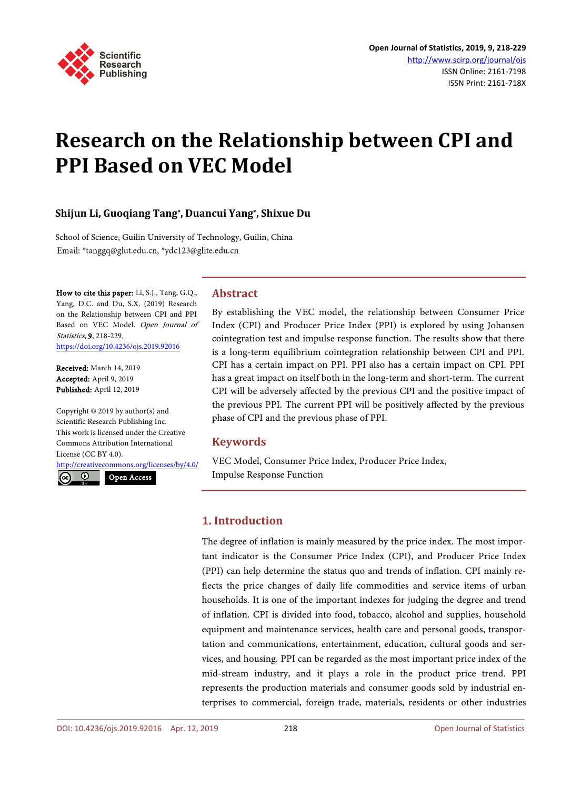

# **Research on the Relationship between CPI and PPI Based on VEC Model**

# **Shijun Li, Guoqiang Tang\*, Duancui Yang\*, Shixue Du**

School of Science, Guilin University of Technology, Guilin, China Email: \*tanggq@glut.edu.cn, \*ydc123@glite.edu.cn

How to cite this paper: Li, S.J., Tang, G.Q., Yang, D.C. and Du, S.X. (2019) Research on the Relationship between CPI and PPI Based on VEC Model. Open Journal of Statistics, 9, 218-229. <https://doi.org/10.4236/ojs.2019.92016>

Received: March 14, 2019 Accepted: April 9, 2019 Published: April 12, 2019

Copyright © 2019 by author(s) and Scientific Research Publishing Inc. This work is licensed under the Creative Commons Attribution International License (CC BY 4.0).

<http://creativecommons.org/licenses/by/4.0/> Open Access $\odot$ 

# **Abstract**

By establishing the VEC model, the relationship between Consumer Price Index (CPI) and Producer Price Index (PPI) is explored by using Johansen cointegration test and impulse response function. The results show that there is a long-term equilibrium cointegration relationship between CPI and PPI. CPI has a certain impact on PPI. PPI also has a certain impact on CPI. PPI has a great impact on itself both in the long-term and short-term. The current CPI will be adversely affected by the previous CPI and the positive impact of the previous PPI. The current PPI will be positively affected by the previous phase of CPI and the previous phase of PPI.

# **Keywords**

VEC Model, Consumer Price Index, Producer Price Index, Impulse Response Function

# **1. Introduction**

The degree of inflation is mainly measured by the price index. The most important indicator is the Consumer Price Index (CPI), and Producer Price Index (PPI) can help determine the status quo and trends of inflation. CPI mainly reflects the price changes of daily life commodities and service items of urban households. It is one of the important indexes for judging the degree and trend of inflation. CPI is divided into food, tobacco, alcohol and supplies, household equipment and maintenance services, health care and personal goods, transportation and communications, entertainment, education, cultural goods and services, and housing. PPI can be regarded as the most important price index of the mid-stream industry, and it plays a role in the product price trend. PPI represents the production materials and consumer goods sold by industrial enterprises to commercial, foreign trade, materials, residents or other industries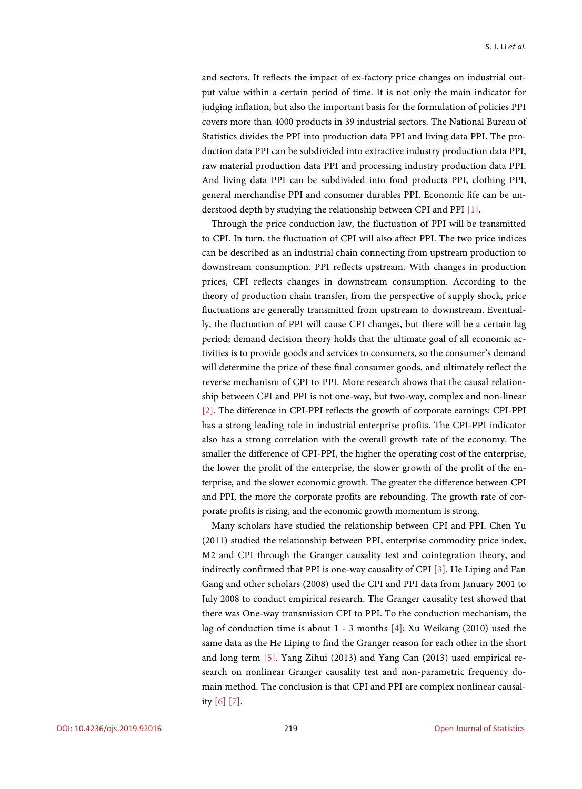and sectors. It reflects the impact of ex-factory price changes on industrial output value within a certain period of time. It is not only the main indicator for judging inflation, but also the important basis for the formulation of policies PPI covers more than 4000 products in 39 industrial sectors. The National Bureau of Statistics divides the PPI into production data PPI and living data PPI. The production data PPI can be subdivided into extractive industry production data PPI, raw material production data PPI and processing industry production data PPI. And living data PPI can be subdivided into food products PPI, clothing PPI, general merchandise PPI and consumer durables PPI. Economic life can be understood depth by studying the relationship between CPI and PPI [\[1\].](#page-11-0)

Through the price conduction law, the fluctuation of PPI will be transmitted to CPI. In turn, the fluctuation of CPI will also affect PPI. The two price indices can be described as an industrial chain connecting from upstream production to downstream consumption. PPI reflects upstream. With changes in production prices, CPI reflects changes in downstream consumption. According to the theory of production chain transfer, from the perspective of supply shock, price fluctuations are generally transmitted from upstream to downstream. Eventually, the fluctuation of PPI will cause CPI changes, but there will be a certain lag period; demand decision theory holds that the ultimate goal of all economic activities is to provide goods and services to consumers, so the consumer's demand will determine the price of these final consumer goods, and ultimately reflect the reverse mechanism of CPI to PPI. More research shows that the causal relationship between CPI and PPI is not one-way, but two-way, complex and non-linear [\[2\].](#page-11-1) The difference in CPI-PPI reflects the growth of corporate earnings: CPI-PPI has a strong leading role in industrial enterprise profits. The CPI-PPI indicator also has a strong correlation with the overall growth rate of the economy. The smaller the difference of CPI-PPI, the higher the operating cost of the enterprise, the lower the profit of the enterprise, the slower growth of the profit of the enterprise, and the slower economic growth. The greater the difference between CPI and PPI, the more the corporate profits are rebounding. The growth rate of corporate profits is rising, and the economic growth momentum is strong.

Many scholars have studied the relationship between CPI and PPI. Chen Yu (2011) studied the relationship between PPI, enterprise commodity price index, M2 and CPI through the Granger causality test and cointegration theory, and indirectly confirmed that PPI is one-way causality of CPI [\[3\].](#page-11-2) He Liping and Fan Gang and other scholars (2008) used the CPI and PPI data from January 2001 to July 2008 to conduct empirical research. The Granger causality test showed that there was One-way transmission CPI to PPI. To the conduction mechanism, the lag of conduction time is about 1 - 3 months [\[4\];](#page-11-3) Xu Weikang (2010) used the same data as the He Liping to find the Granger reason for each other in the short and long term [\[5\].](#page-11-4) Yang Zihui (2013) and Yang Can (2013) used empirical research on nonlinear Granger causality test and non-parametric frequency domain method. The conclusion is that CPI and PPI are complex nonlinear causalit[y \[6\]](#page-11-5) [\[7\].](#page-11-6)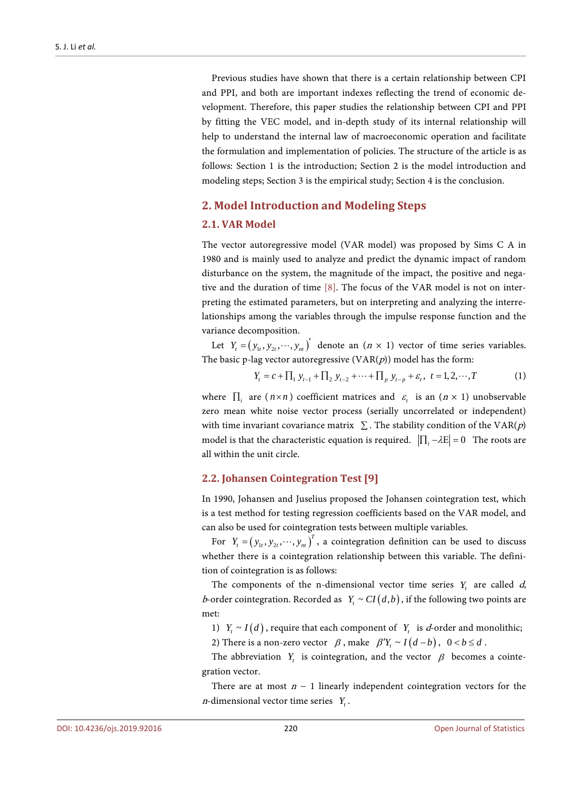Previous studies have shown that there is a certain relationship between CPI and PPI, and both are important indexes reflecting the trend of economic development. Therefore, this paper studies the relationship between CPI and PPI by fitting the VEC model, and in-depth study of its internal relationship will help to understand the internal law of macroeconomic operation and facilitate the formulation and implementation of policies. The structure of the article is as follows: Section 1 is the introduction; Section 2 is the model introduction and modeling steps; Section 3 is the empirical study; Section 4 is the conclusion.

# **2. Model Introduction and Modeling Steps**

## **2.1. VAR Model**

The vector autoregressive model (VAR model) was proposed by Sims C A in 1980 and is mainly used to analyze and predict the dynamic impact of random disturbance on the system, the magnitude of the impact, the positive and negative and the duration of time [\[8\].](#page-11-7) The focus of the VAR model is not on interpreting the estimated parameters, but on interpreting and analyzing the interrelationships among the variables through the impulse response function and the variance decomposition.

Let  $Y_t = (y_{1t}, y_{2t}, \dots, y_{nt})'$  denote an  $(n \times 1)$  vector of time series variables. The basic p-lag vector autoregressive  $(VAR(p))$  model has the form:

$$
Y_t = c + \prod_1 y_{t-1} + \prod_2 y_{t-2} + \dots + \prod_p y_{t-p} + \varepsilon_t, \ t = 1, 2, \dots, T
$$
 (1)

where  $\prod_i$  are  $(n \times n)$  coefficient matrices and  $\varepsilon_i$  is an  $(n \times 1)$  unobservable zero mean white noise vector process (serially uncorrelated or independent) with time invariant covariance matrix  $\Sigma$ . The stability condition of the VAR(p) model is that the characteristic equation is required.  $\left| \prod_i -\lambda E \right| = 0$  The roots are all within the unit circle.

## **2.2. Johansen Cointegration Tes[t \[9\]](#page-11-8)**

In 1990, Johansen and Juselius proposed the Johansen cointegration test, which is a test method for testing regression coefficients based on the VAR model, and can also be used for cointegration tests between multiple variables.

For  $Y_t = (y_{1t}, y_{2t}, \dots, y_{nt})^T$ , a cointegration definition can be used to discuss whether there is a cointegration relationship between this variable. The definition of cointegration is as follows:

The components of the n-dimensional vector time series  $Y_t$ , are called  $d$ , *b*-order cointegration. Recorded as  $Y_t \sim CI(d,b)$ , if the following two points are met:

- 1)  $Y_t \sim I(d)$ , require that each component of  $Y_t$  is *d*-order and monolithic;
- 2) There is a non-zero vector  $\beta$ , make  $\beta'Y_t \sim I(d-b)$ ,  $0 < b \le d$ .

The abbreviation  $Y_t$  is cointegration, and the vector  $\beta$  becomes a cointegration vector.

There are at most  $n - 1$  linearly independent cointegration vectors for the *n*-dimensional vector time series *Y<sub>t</sub>*.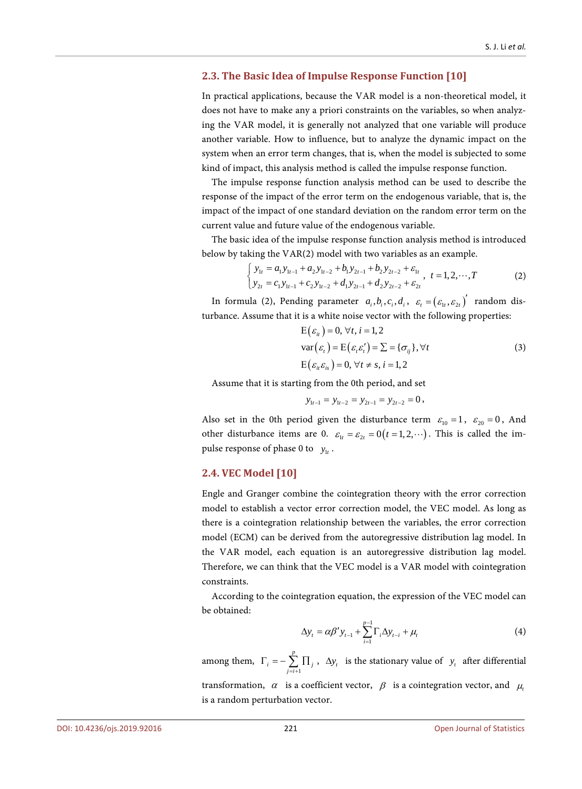#### **2.3. The Basic Idea of Impulse Response Function [10]**

In practical applications, because the VAR model is a non[-theore](#page-11-9)tical model, it does not have to make any a priori constraints on the variables, so when analyzing the VAR model, it is generally not analyzed that one variable will produce another variable. How to influence, but to analyze the dynamic impact on the system when an error term changes, that is, when the model is subjected to some kind of impact, this analysis method is called the impulse response function.

The impulse response function analysis method can be used to describe the response of the impact of the error term on the endogenous variable, that is, the impact of the impact of one standard deviation on the random error term on the current value and future value of the endogenous variable.

The basic idea of the impulse response function analysis method is introduced below by taking the VAR(2) model with two variables as an example.

$$
\begin{cases}\ny_{1t} = a_1 y_{1t-1} + a_2 y_{1t-2} + b_1 y_{2t-1} + b_2 y_{2t-2} + \varepsilon_{1t} \\
y_{2t} = c_1 y_{1t-1} + c_2 y_{1t-2} + d_1 y_{2t-1} + d_2 y_{2t-2} + \varepsilon_{2t}\n\end{cases}, \quad t = 1, 2, \dots, T
$$
\n(2)

In formula (2), Pending parameter  $a_i, b_i, c_i, d_i$ ,  $\varepsilon_t = (\varepsilon_{t}, \varepsilon_{2t})'$  random disturbance. Assume that it is a white noise vector with the following properties:

$$
E(\varepsilon_{ii}) = 0, \forall t, i = 1, 2
$$
  
\n
$$
var(\varepsilon_{i}) = E(\varepsilon_{i}\varepsilon'_{i}) = \sum = {\sigma_{ij}}, \forall t
$$
  
\n
$$
E(\varepsilon_{ii}\varepsilon_{is}) = 0, \forall t \neq s, i = 1, 2
$$
\n(3)

Assume that it is starting from the 0th period, and set

$$
y_{1t-1} = y_{1t-2} = y_{2t-1} = y_{2t-2} = 0,
$$

Also set in the 0th period given the disturbance term  $\varepsilon_{10} = 1$ ,  $\varepsilon_{20} = 0$ , And other disturbance items are 0.  $\varepsilon_{1t} = \varepsilon_{2t} = 0 (t = 1, 2, \cdots)$ . This is called the impulse response of phase 0 to  $y_t$ .

#### **2.4. VEC Model [\[10\]](#page-11-9)**

Engle and Granger combine the cointegration theory with the error correction model to establish a vector error correction model, the VEC model. As long as there is a cointegration relationship between the variables, the error correction model (ECM) can be derived from the autoregressive distribution lag model. In the VAR model, each equation is an autoregressive distribution lag model. Therefore, we can think that the VEC model is a VAR model with cointegration constraints.

According to the cointegration equation, the expression of the VEC model can be obtained:

$$
\Delta y_t = \alpha \beta' y_{t-1} + \sum_{i=1}^{p-1} \Gamma_i \Delta y_{t-i} + \mu_t
$$
\n(4)

among them, 1 *p*  $\Gamma_i = -\sum_{j=i+1}^{i} \prod_j$ ,  $\Delta y_i$  is the stationary value of  $y_i$  after differential

transformation,  $\alpha$  is a coefficient vector,  $\beta$  is a cointegration vector, and  $\mu$ , is a random perturbation vector.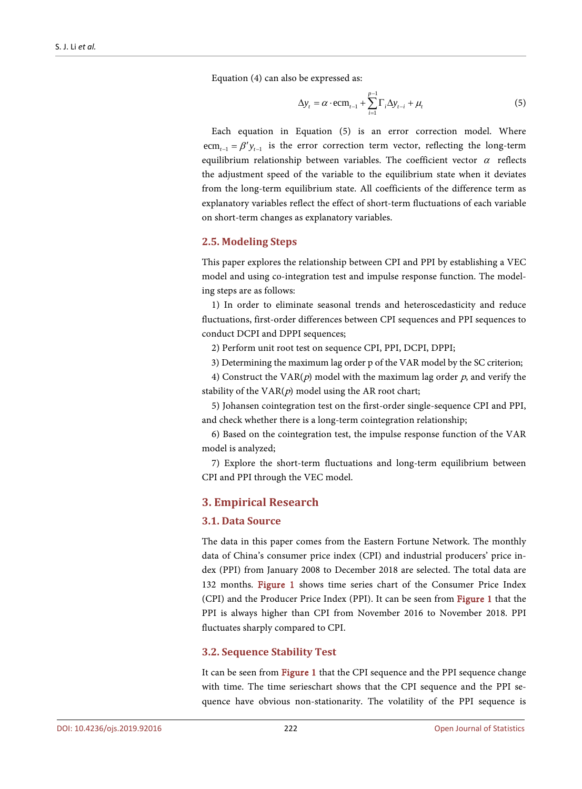Equation (4) can also be expressed as:

$$
\Delta y_t = \alpha \cdot \text{ecm}_{t-1} + \sum_{i=1}^{p-1} \Gamma_i \Delta y_{t-i} + \mu_t \tag{5}
$$

Each equation in Equation (5) is an error correction model. Where  $1 \text{ term}_{t-1} = \beta' y_{t-1}$  is the error correction term vector, reflecting the long-term equilibrium relationship between variables. The coefficient vector  $\alpha$  reflects the adjustment speed of the variable to the equilibrium state when it deviates from the long-term equilibrium state. All coefficients of the difference term as explanatory variables reflect the effect of short-term fluctuations of each variable on short-term changes as explanatory variables.

#### **2.5. Modeling Steps**

This paper explores the relationship between CPI and PPI by establishing a VEC model and using co-integration test and impulse response function. The modeling steps are as follows:

1) In order to eliminate seasonal trends and heteroscedasticity and reduce fluctuations, first-order differences between CPI sequences and PPI sequences to conduct DCPI and DPPI sequences;

2) Perform unit root test on sequence CPI, PPI, DCPI, DPPI;

3) Determining the maximum lag order p of the VAR model by the SC criterion;

4) Construct the VAR $(p)$  model with the maximum lag order  $p$ , and verify the stability of the  $VAR(p)$  model using the AR root chart;

5) Johansen cointegration test on the first-order single-sequence CPI and PPI, and check whether there is a long-term cointegration relationship;

6) Based on the cointegration test, the impulse response function of the VAR model is analyzed;

7) Explore the short-term fluctuations and long-term equilibrium between CPI and PPI through the VEC model.

# **3. Empirical Research**

## **3.1. Data Source**

The data in this paper comes from the Eastern Fortune Network. The monthly data of China's consumer price index (CPI) and industrial producers' price index (PPI) from January 2008 to December 2018 are selected. The total data are 132 months. [Figure 1](#page-5-0) shows time series chart of the Consumer Price Index (CPI) and the Producer Price Index (PPI). It can be seen from [Figure 1](#page-5-0) that the PPI is always higher than CPI from November 2016 to November 2018. PPI fluctuates sharply compared to CPI.

## **3.2. Sequence Stability Test**

It can be seen from [Figure 1](#page-5-0) that the CPI sequence and the PPI sequence change with time. The time serieschart shows that the CPI sequence and the PPI sequence have obvious non-stationarity. The volatility of the PPI sequence is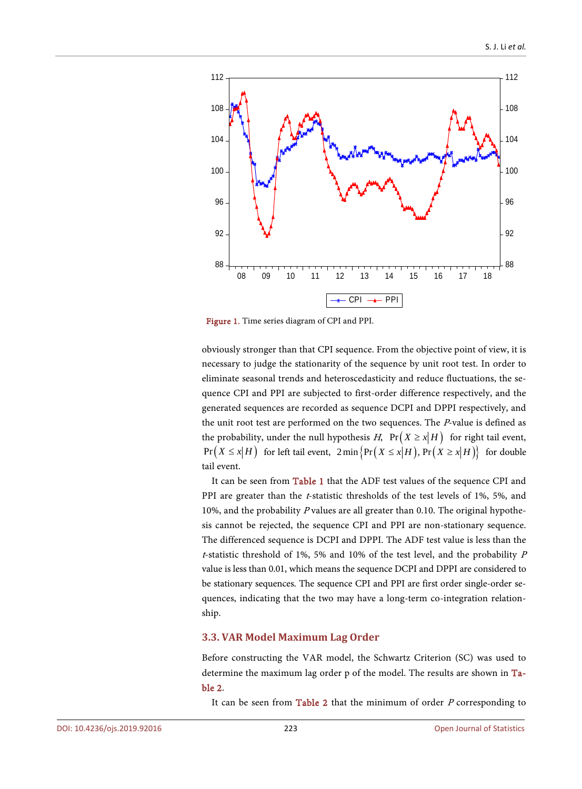<span id="page-5-0"></span>

Figure 1. Time series diagram of CPI and PPI.

obviously stronger than that CPI sequence. From the objective point of view, it is necessary to judge the stationarity of the sequence by unit root test. In order to eliminate seasonal trends and heteroscedasticity and reduce fluctuations, the sequence CPI and PPI are subjected to first-order difference respectively, and the generated sequences are recorded as sequence DCPI and DPPI respectively, and the unit root test are performed on the two sequences. The <sup>P</sup>-value is defined as the probability, under the null hypothesis H,  $Pr(X \ge x|H)$  for right tail event,  $Pr(X \le x|H)$  for left tail event,  $2 \min \{ Pr(X \le x|H), Pr(X \ge x|H) \}$  for double tail event.

It can be seen from [Table 1](#page-6-0) that the ADF test values of the sequence CPI and PPI are greater than the *t*-statistic thresholds of the test levels of 1%, 5%, and 10%, and the probability <sup>P</sup> values are all greater than 0.10. The original hypothesis cannot be rejected, the sequence CPI and PPI are non-stationary sequence. The differenced sequence is DCPI and DPPI. The ADF test value is less than the t-statistic threshold of 1%, 5% and 10% of the test level, and the probability  $P$ value is less than 0.01, which means the sequence DCPI and DPPI are considered to be stationary sequences. The sequence CPI and PPI are first order single-order sequences, indicating that the two may have a long-term co-integration relationship.

#### **3.3. VAR Model Maximum Lag Order**

Before constructing the VAR model, the Schwartz Criterion (SC) was used to determine the maximum lag order p of the model. The results are shown in [Ta](#page-6-1)[ble 2.](#page-6-1)

It can be seen from [Table 2](#page-6-1) that the minimum of order  $P$  corresponding to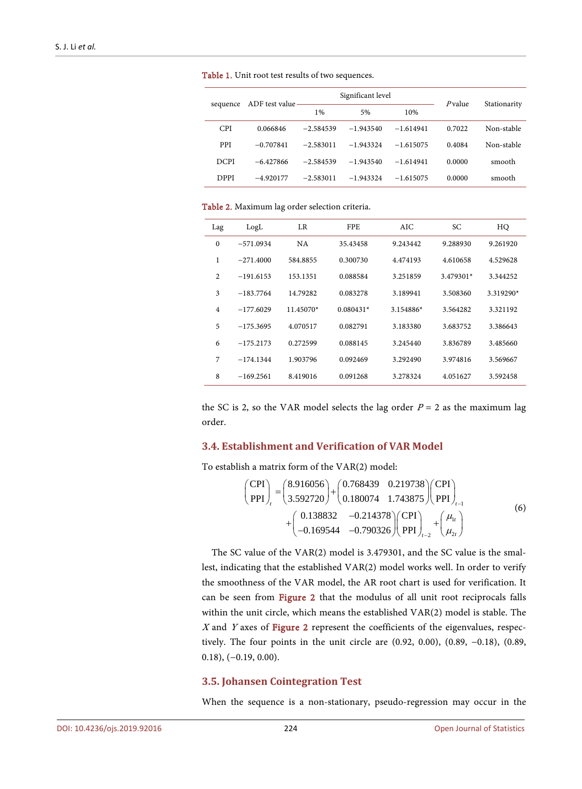| sequence    | ADF test value- | Significant level |             |             |        |              |
|-------------|-----------------|-------------------|-------------|-------------|--------|--------------|
|             |                 | $1\%$             | 5%          | 10%         | Pvalue | Stationarity |
| <b>CPI</b>  | 0.066846        | $-2.584539$       | $-1.943540$ | $-1.614941$ | 0.7022 | Non-stable   |
| <b>PPI</b>  | $-0.707841$     | $-2.583011$       | $-1.943324$ | $-1.615075$ | 0.4084 | Non-stable   |
| <b>DCPI</b> | $-6.427866$     | $-2.584539$       | $-1.943540$ | $-1.614941$ | 0.0000 | smooth       |
| <b>DPPI</b> | $-4.920177$     | $-2.583011$       | $-1.943324$ | $-1.615075$ | 0.0000 | smooth       |

<span id="page-6-0"></span>Table 1. Unit root test results of two sequences.

<span id="page-6-1"></span>

| Table 2. Maximum lag order selection criteria. |  |  |  |
|------------------------------------------------|--|--|--|
|------------------------------------------------|--|--|--|

| Lag            | LogL        | <b>LR</b>   | <b>FPE</b>  | AIC.      | SC        | HQ        |
|----------------|-------------|-------------|-------------|-----------|-----------|-----------|
| $\mathbf{0}$   | $-571.0934$ | NA          | 35.43458    | 9.243442  | 9.288930  | 9.261920  |
| 1              | $-271.4000$ | 584.8855    | 0.300730    | 4.474193  | 4.610658  | 4.529628  |
| $\overline{2}$ | $-191.6153$ | 153.1351    | 0.088584    | 3.251859  | 3.479301* | 3.344252  |
| 3              | $-183.7764$ | 14.79282    | 0.083278    | 3.189941  | 3.508360  | 3.319290* |
| $\overline{4}$ | $-177.6029$ | $11.45070*$ | $0.080431*$ | 3.154886* | 3.564282  | 3.321192  |
| 5              | $-175.3695$ | 4.070517    | 0.082791    | 3.183380  | 3.683752  | 3.386643  |
| 6              | $-175.2173$ | 0.272599    | 0.088145    | 3.245440  | 3.836789  | 3.485660  |
| 7              | $-174.1344$ | 1.903796    | 0.092469    | 3.292490  | 3.974816  | 3.569667  |
| 8              | $-169.2561$ | 8.419016    | 0.091268    | 3.278324  | 4.051627  | 3.592458  |

the SC is 2, so the VAR model selects the lag order  $P = 2$  as the maximum lag order.

#### **3.4. Establishment and Verification of VAR Model**

To establish a matrix form of the VAR(2) model:

$$
\begin{pmatrix} \text{CPI} \\ \text{PPI} \end{pmatrix}_{t} = \begin{pmatrix} 8.916056 \\ 3.592720 \end{pmatrix} + \begin{pmatrix} 0.768439 & 0.219738 \\ 0.180074 & 1.743875 \end{pmatrix} \begin{pmatrix} \text{CPI} \\ \text{PPI} \end{pmatrix}_{t-1} + \begin{pmatrix} 0.138832 & -0.214378 \\ -0.169544 & -0.790326 \end{pmatrix} \begin{pmatrix} \text{CPI} \\ \text{PPI} \end{pmatrix}_{t-2} + \begin{pmatrix} \mu_{1t} \\ \mu_{2t} \end{pmatrix}
$$
 (6)

The SC value of the VAR(2) model is 3.479301, and the SC value is the smallest, indicating that the established VAR(2) model works well. In order to verify the smoothness of the VAR model, the AR root chart is used for verification. It can be seen from [Figure 2](#page-7-0) that the modulus of all unit root reciprocals falls within the unit circle, which means the established VAR(2) model is stable. The  $X$  and  $Y$  axes of [Figure 2](#page-7-0) represent the coefficients of the eigenvalues, respectively. The four points in the unit circle are (0.92, 0.00), (0.89, −0.18), (0.89, 0.18), (−0.19, 0.00).

#### **3.5. Johansen Cointegration Test**

When the sequence is a non-stationary, pseudo-regression may occur in the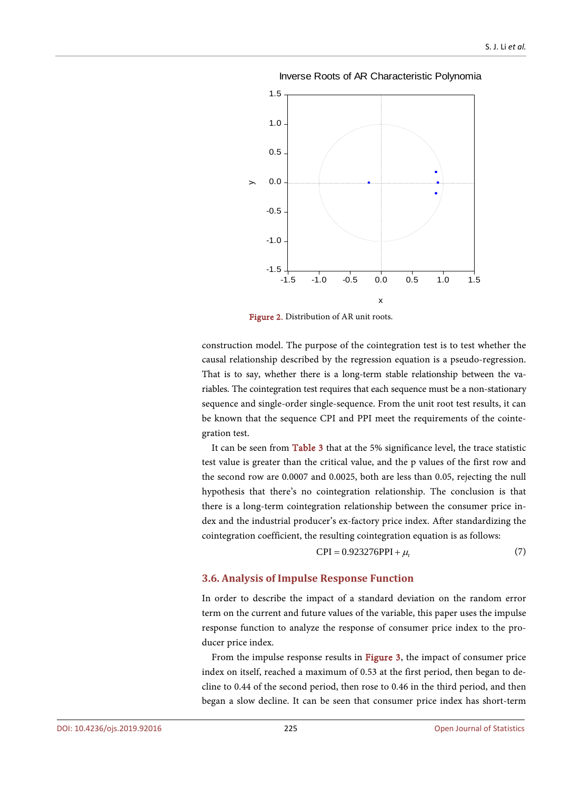<span id="page-7-0"></span>

Inverse Roots of AR Characteristic Polynomia

Figure 2. Distribution of AR unit roots.

construction model. The purpose of the cointegration test is to test whether the causal relationship described by the regression equation is a pseudo-regression. That is to say, whether there is a long-term stable relationship between the variables. The cointegration test requires that each sequence must be a non-stationary sequence and single-order single-sequence. From the unit root test results, it can be known that the sequence CPI and PPI meet the requirements of the cointegration test.

It can be seen from [Table 3](#page-8-0) that at the 5% significance level, the trace statistic test value is greater than the critical value, and the p values of the first row and the second row are 0.0007 and 0.0025, both are less than 0.05, rejecting the null hypothesis that there's no cointegration relationship. The conclusion is that there is a long-term cointegration relationship between the consumer price index and the industrial producer's ex-factory price index. After standardizing the cointegration coefficient, the resulting cointegration equation is as follows:

$$
CPI = 0.923276PPI + \mu_t \tag{7}
$$

#### **3.6. Analysis of Impulse Response Function**

In order to describe the impact of a standard deviation on the random error term on the current and future values of the variable, this paper uses the impulse response function to analyze the response of consumer price index to the producer price index.

From the impulse response results in [Figure 3,](#page-8-1) the impact of consumer price index on itself, reached a maximum of 0.53 at the first period, then began to decline to 0.44 of the second period, then rose to 0.46 in the third period, and then began a slow decline. It can be seen that consumer price index has short-term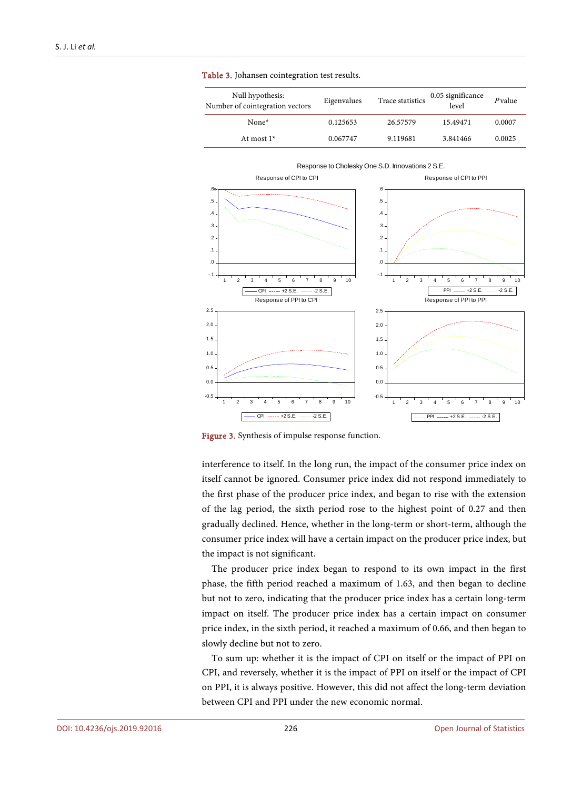| Null hypothesis:<br>Number of cointegration vectors | Eigenvalues | Trace statistics | 0.05 significance<br>level | $P$ value |
|-----------------------------------------------------|-------------|------------------|----------------------------|-----------|
| None $*$                                            | 0.125653    | 26.57579         | 15.49471                   | 0.0007    |
| At most 1*                                          | 0.067747    | 9.119681         | 3.841466                   | 0.0025    |

<span id="page-8-0"></span>

<span id="page-8-1"></span>

Figure 3. Synthesis of impulse response function.

interference to itself. In the long run, the impact of the consumer price index on itself cannot be ignored. Consumer price index did not respond immediately to the first phase of the producer price index, and began to rise with the extension of the lag period, the sixth period rose to the highest point of 0.27 and then gradually declined. Hence, whether in the long-term or short-term, although the consumer price index will have a certain impact on the producer price index, but the impact is not significant.

The producer price index began to respond to its own impact in the first phase, the fifth period reached a maximum of 1.63, and then began to decline but not to zero, indicating that the producer price index has a certain long-term impact on itself. The producer price index has a certain impact on consumer price index, in the sixth period, it reached a maximum of 0.66, and then began to slowly decline but not to zero.

To sum up: whether it is the impact of CPI on itself or the impact of PPI on CPI, and reversely, whether it is the impact of PPI on itself or the impact of CPI on PPI, it is always positive. However, this did not affect the long-term deviation between CPI and PPI under the new economic normal.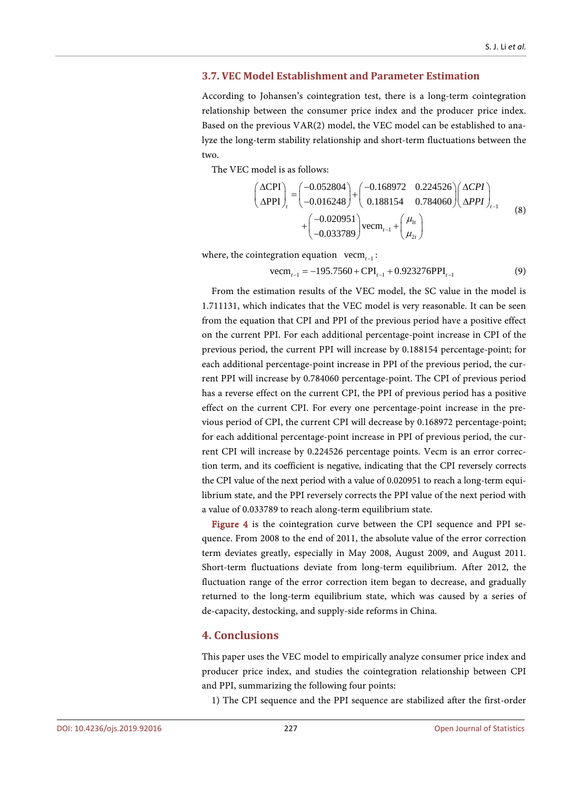#### **3.7. VEC Model Establishment and Parameter Estimation**

According to Johansen's cointegration test, there is a long-term cointegration relationship between the consumer price index and the producer price index. Based on the previous VAR(2) model, the VEC model can be established to analyze the long-term stability relationship and short-term fluctuations between the two.

The VEC model is as follows:

$$
\begin{pmatrix}\n\Delta \text{CPI} \\
\Delta \text{PPI}\n\end{pmatrix}_{t} =\n\begin{pmatrix}\n-0.052804 \\
-0.016248\n\end{pmatrix} +\n\begin{pmatrix}\n-0.168972 & 0.224526 \\
0.188154 & 0.784060\n\end{pmatrix}\n\begin{pmatrix}\n\Delta \text{CPI} \\
\Delta \text{PPI}\n\end{pmatrix}_{t-1}\n+ \begin{pmatrix}\n-0.020951 \\
-0.033789\n\end{pmatrix} \text{vecm}_{t-1} +\n\begin{pmatrix}\n\mu_{1t} \\
\mu_{2t}\n\end{pmatrix}
$$
\n(8)

where, the cointegration equation vecm<sub>*t*−1</sub>:

$$
\text{vecm}_{t-1} = -195.7560 + \text{CPI}_{t-1} + 0.923276\text{PPI}_{t-1} \tag{9}
$$

From the estimation results of the VEC model, the SC value in the model is 1.711131, which indicates that the VEC model is very reasonable. It can be seen from the equation that CPI and PPI of the previous period have a positive effect on the current PPI. For each additional percentage-point increase in CPI of the previous period, the current PPI will increase by 0.188154 percentage-point; for each additional percentage-point increase in PPI of the previous period, the current PPI will increase by 0.784060 percentage-point. The CPI of previous period has a reverse effect on the current CPI, the PPI of previous period has a positive effect on the current CPI. For every one percentage-point increase in the previous period of CPI, the current CPI will decrease by 0.168972 percentage-point; for each additional percentage-point increase in PPI of previous period, the current CPI will increase by 0.224526 percentage points. Vecm is an error correction term, and its coefficient is negative, indicating that the CPI reversely corrects the CPI value of the next period with a value of 0.020951 to reach a long-term equilibrium state, and the PPI reversely corrects the PPI value of the next period with a value of 0.033789 to reach along-term equilibrium state.

[Figure 4](#page-10-0) is the cointegration curve between the CPI sequence and PPI sequence. From 2008 to the end of 2011, the absolute value of the error correction term deviates greatly, especially in May 2008, August 2009, and August 2011. Short-term fluctuations deviate from long-term equilibrium. After 2012, the fluctuation range of the error correction item began to decrease, and gradually returned to the long-term equilibrium state, which was caused by a series of de-capacity, destocking, and supply-side reforms in China.

# **4. Conclusions**

This paper uses the VEC model to empirically analyze consumer price index and producer price index, and studies the cointegration relationship between CPI and PPI, summarizing the following four points:

1) The CPI sequence and the PPI sequence are stabilized after the first-order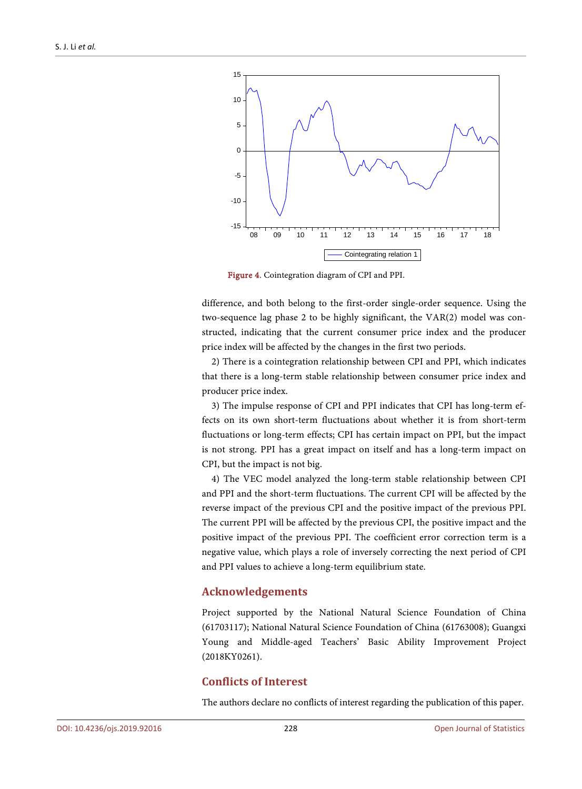<span id="page-10-0"></span>

Figure 4. Cointegration diagram of CPI and PPI.

difference, and both belong to the first-order single-order sequence. Using the two-sequence lag phase 2 to be highly significant, the VAR(2) model was constructed, indicating that the current consumer price index and the producer price index will be affected by the changes in the first two periods.

2) There is a cointegration relationship between CPI and PPI, which indicates that there is a long-term stable relationship between consumer price index and producer price index.

3) The impulse response of CPI and PPI indicates that CPI has long-term effects on its own short-term fluctuations about whether it is from short-term fluctuations or long-term effects; CPI has certain impact on PPI, but the impact is not strong. PPI has a great impact on itself and has a long-term impact on CPI, but the impact is not big.

4) The VEC model analyzed the long-term stable relationship between CPI and PPI and the short-term fluctuations. The current CPI will be affected by the reverse impact of the previous CPI and the positive impact of the previous PPI. The current PPI will be affected by the previous CPI, the positive impact and the positive impact of the previous PPI. The coefficient error correction term is a negative value, which plays a role of inversely correcting the next period of CPI and PPI values to achieve a long-term equilibrium state.

#### **Acknowledgements**

Project supported by the National Natural Science Foundation of China (61703117); National Natural Science Foundation of China (61763008); Guangxi Young and Middle-aged Teachers' Basic Ability Improvement Project (2018KY0261).

# **Conflicts of Interest**

The authors declare no conflicts of interest regarding the publication of this paper.